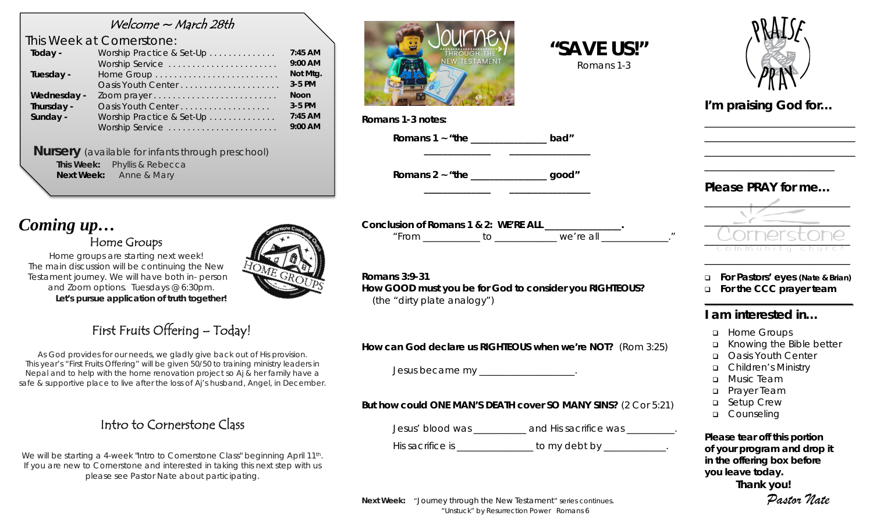# Welcome ~ March 28th

 *This Week at Cornerstone:*

| Today -     | Worship Practice & Set-Up | $7:45$ AM   |
|-------------|---------------------------|-------------|
|             | Worship Service           | 9:00 AM     |
| Tuesday -   |                           | Not Mtg.    |
|             | Oasis Youth Center        | 3-5 PM      |
| Wednesday - |                           | <b>Noon</b> |
| Thursday -  | Oasis Youth Center        | 3-5 PM      |
| Sunday -    | Worship Practice & Set-Up | $7:45$ AM   |
|             | Worship Service           | 9:00 AM     |
|             |                           |             |

*Nursery (available for infants through preschool)* **This Week:** Phyllis & Rebecca  **Next Week:** Anne & Mary

# *Coming up…* Home Groups

*Home groups are starting next week! The main discussion will be continuing the New Testament journey. We will have both in- person and Zoom options. Tuesdays @ 6:30pm. Let's pursue application of truth together!*



First Fruits Offering – Today!

As God provides for our needs, we gladly give back out of His provision. This year's "First Fruits Offering" will be given 50/50 to training ministry leaders in Nepal and to help with the home renovation project so Aj & her family have a safe & supportive place to live after the loss of Aj's husband, Angel, in December.

# Intro to Cornerstone Class

We will be starting a 4-week "Intro to Cornerstone Class" beginning April 11<sup>th</sup>. If you are new to Cornerstone and interested in taking this next step with us please see Pastor Nate about participating.



**Romans 1-3 notes:**

**Romans 1 ~ "the \_\_\_\_\_\_\_\_\_\_\_\_\_\_\_\_ bad"**

**Romans 2 ~ "the \_\_\_\_\_\_\_\_\_\_\_\_\_\_\_\_ good"**

**Conclusion of Romans 1 & 2: WE'RE ALL \_\_\_\_\_\_\_\_\_\_\_\_\_\_\_\_.** *"From \_\_\_\_\_\_\_\_\_\_\_\_ to \_\_\_\_\_\_\_\_\_\_\_\_\_ we're all \_\_\_\_\_\_\_\_\_\_\_\_\_\_."*

**\_\_\_\_\_\_\_\_\_\_\_\_\_\_ \_\_\_\_\_\_\_\_\_\_\_\_\_\_\_\_\_**

**\_\_\_\_\_\_\_\_\_\_\_\_\_\_ \_\_\_\_\_\_\_\_\_\_\_\_\_\_\_\_\_**

 **"SAVE US!"** *Romans 1-3*

**Romans 3:9-31 How GOOD must you be for God to consider you RIGHTEOUS?**  *(the "dirty plate analogy")*

**How can God declare us RIGHTEOUS when we're NOT?** (Rom 3:25)

Jesus became my \_\_\_\_\_\_\_\_\_\_\_\_\_\_\_\_\_\_\_.

## **But how could ONE MAN'S DEATH cover SO MANY SINS?** (2 Cor 5:21)

Jesus' blood was \_\_\_\_\_\_\_\_\_\_\_ and His sacrifice was \_\_\_\_\_\_\_\_\_\_.

His sacrifice is \_\_\_\_\_\_\_\_\_\_\_\_\_\_\_\_\_ to my debt by \_\_\_\_\_\_\_\_\_\_\_\_\_.

*I'm praising God for…* 

\_\_\_\_\_\_\_\_\_\_\_\_\_\_\_\_\_\_\_\_\_\_\_\_\_\_\_\_\_ \_\_\_\_\_\_\_\_\_\_\_\_\_\_\_\_\_\_\_\_\_\_\_\_\_\_\_\_\_ \_\_\_\_\_\_\_\_\_\_\_\_\_\_\_\_\_\_\_\_\_\_\_\_\_\_\_\_\_

*Please PRAY for me…*

\_\_\_\_\_\_\_\_\_\_\_\_\_\_\_\_\_\_\_\_\_\_\_\_\_



 **For Pastors' eyes (Nate & Brian) For the CCC prayer team**

## **I am interested in…**

- □ Home Groups
- Knowing the Bible better
- **D** Oasis Youth Center
- Children's Ministry
- Music Team
- **p** Prayer Team
- □ Setup Crew
- □ Counseling

*Please tear off this portion of your program and drop it in the offering box before you leave today.* **Thank you!**

*Pastor Nate*

**Next Week:** "Journey through the New Testament" series continues. *"Unstuck" by Resurrection Power* Romans 6